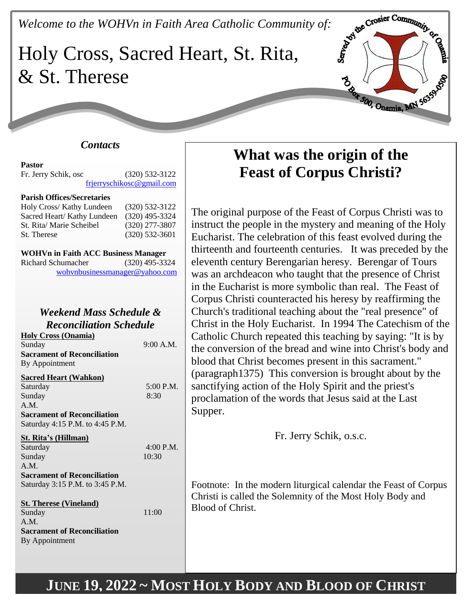# *Welcome to the WOHVn in Faith Area Catholic Community of:*<br>Holy Cross, Sacred Hearth Community of: Holy Cross, Sacred Heart, St. Rita, & St. Therese



### *Contacts*

**Pastor** Fr. Jerry Schik, osc (320) 532-3122 [frjerryschikosc@gmail.com](mailto:frjerryschikosc@gmail.com)

### **Parish Offices/Secretaries**

| Holy Cross/ Kathy Lundeen  | $(320)$ 532-3122 |
|----------------------------|------------------|
| Sacred Heart/Kathy Lundeen | $(320)$ 495-3324 |
| St. Rita/ Marie Scheibel   | $(320)$ 277-3807 |
| St. Therese                | $(320)$ 532-3601 |

| <b>WOHVn in Faith ACC Business Manager</b> |                                |  |
|--------------------------------------------|--------------------------------|--|
| Richard Schumacher                         | $(320)$ 495-3324               |  |
|                                            | wohynbusinessmanager@yahoo.com |  |

# *Weekend Mass Schedule & Reconciliation Schedule*

**Holy Cross (Onamia)** Sunday 9:00 A.M. **Sacrament of Reconciliation** By Appointment

#### **Sacred Heart (Wahkon)**

| Saturday                           | 5:00 P.M. |
|------------------------------------|-----------|
| Sunday                             | 8:30      |
| A.M.                               |           |
| <b>Sacrament of Reconciliation</b> |           |
| Saturday 4:15 P.M. to 4:45 P.M.    |           |
| St. Rita's (Hillman)               |           |
| Saturday                           | 4:00 P.M. |
| Sunday                             | 10:30     |

A.M. **Sacrament of Reconciliation**

Saturday 3:15 P.M. to 3:45 P.M.

**St. Therese (Vineland)** Sunday 11:00 A.M. **Sacrament of Reconciliation** By Appointment

**What was the origin of the Feast of Corpus Christi?**

The original purpose of the Feast of Corpus Christi was to instruct the people in the mystery and meaning of the Holy Eucharist. The celebration of this feast evolved during the thirteenth and fourteenth centuries. It was preceded by the eleventh century Berengarian heresy. Berengar of Tours was an archdeacon who taught that the presence of Christ in the Eucharist is more symbolic than real. The Feast of Corpus Christi counteracted his heresy by reaffirming the Church's traditional teaching about the "real presence" of Christ in the Holy Eucharist. In 1994 The Catechism of the Catholic Church repeated this teaching by saying: "It is by the conversion of the bread and wine into Christ's body and blood that Christ becomes present in this sacrament." (paragraph1375) This conversion is brought about by the sanctifying action of the Holy Spirit and the priest's proclamation of the words that Jesus said at the Last Supper.

Fr. Jerry Schik, o.s.c.

Footnote: In the modern liturgical calendar the Feast of Corpus Christi is called the Solemnity of the Most Holy Body and Blood of Christ.

# **JUNE 19, 2022 ~ MOST HOLY BODY AND BLOOD OF CHRIST**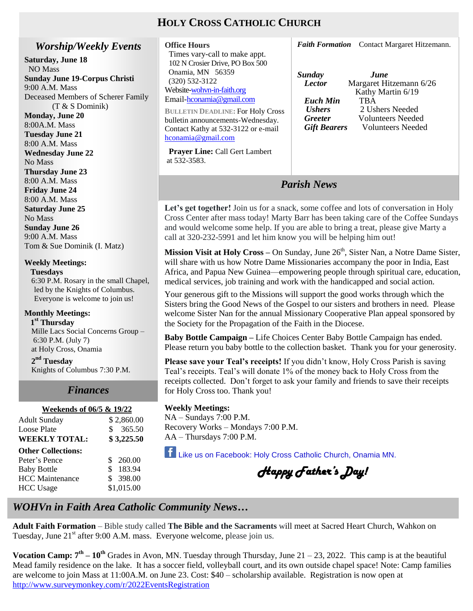# **HOLY CROSS CATHOLIC CHURCH**

### *Worship/Weekly Events*

**Saturday, June 18** NO Mass **Sunday June 19-Corpus Christi** 9:00 A.M. Mass Deceased Members of Scherer Family (T & S Dominik)

**Monday, June 20** 8:00A.M. Mass **Tuesday June 21** 8:00 A.M. Mass **Wednesday June 22** No Mass **Thursday June 23** 8:00 A.M. Mass **Friday June 24** 8:00 A.M. Mass **Saturday June 25** No Mass **Sunday June 26** 9:00 A.M. Mass Tom & Sue Dominik (I. Matz)

**Weekly Meetings:** 

 **Tuesdays** 6:30 P.M. Rosary in the small Chapel, led by the Knights of Columbus. Everyone is welcome to join us!

### **Monthly Meetings:**

 **1 st Thursday**  Mille Lacs Social Concerns Group – 6:30 P.M. (July 7) at Holy Cross, Onamia

**2 nd Tuesday** Knights of Columbus 7:30 P.M.

# *Finances*

# *Finances* **Weekends of 06/5 & 19/22**

| <b>Adult Sunday</b><br><b>Loose Plate</b> | \$2,860.00<br>\$365.50 |
|-------------------------------------------|------------------------|
| <b>WEEKLY TOTAL:</b>                      | \$3,225.50             |
| <b>Other Collections:</b>                 |                        |
| Peter's Pence                             | \$260.00               |
| <b>Baby Bottle</b>                        | 183.94<br>\$           |
| <b>HCC</b> Maintenance                    | \$ 398.00              |
| <b>HCC</b> Usage                          | \$1,015.00             |
|                                           |                        |

| Times vary-call to make appt.            |     |
|------------------------------------------|-----|
| 102 N Crosier Drive, PO Box 500          |     |
| Onamia, MN 56359                         | Sun |
| $(320) 532 - 3122$                       | Le  |
| Website-wohvn-in-faith.org               |     |
| Email-hconamia@gmail.com                 | Eı  |
| <b>BULLETIN DEADLINE: For Holy Cross</b> | U.  |
| bulletin announcements-Wednesday.        | Gі  |
|                                          |     |

Contact Kathy at 532-3122 or e-mail [hconamia@gmail.com](mailto:hconamia@gmail.com)

**Office Hours**

 **Prayer Line:** Call Gert Lambert at 532-3583.

*Faith Formation* Contact Margaret Hitzemann.

| Sunday              | <i>June</i>              |
|---------------------|--------------------------|
| <b>Lector</b>       | Margaret Hitzemann 6/26  |
|                     | Kathy Martin 6/19        |
| Euch Min            | <b>TRA</b>               |
| <b>Ushers</b>       | 2 Ushers Needed          |
| <b>Greeter</b>      | <b>Volunteers Needed</b> |
| <b>Gift Bearers</b> | <b>Volunteers Needed</b> |
|                     |                          |

# *Parish News*

Let's get together! Join us for a snack, some coffee and lots of conversation in Holy Cross Center after mass today! Marty Barr has been taking care of the Coffee Sundays and would welcome some help. If you are able to bring a treat, please give Marty a call at 320-232-5991 and let him know you will be helping him out!

**Mission Visit at Holy Cross** – On Sunday, June 26<sup>th</sup>, Sister Nan, a Notre Dame Sister, will share with us how Notre Dame Missionaries accompany the poor in India, East Africa, and Papua New Guinea—empowering people through spiritual care, education, medical services, job training and work with the handicapped and social action.

Your generous gift to the Missions will support the good works through which the Sisters bring the Good News of the Gospel to our sisters and brothers in need. Please welcome Sister Nan for the annual Missionary Cooperative Plan appeal sponsored by the Society for the Propagation of the Faith in the Diocese.

**Baby Bottle Campaign –** Life Choices Center Baby Bottle Campaign has ended. Please return you baby bottle to the collection basket. Thank you for your generosity.

**Please save your Teal's receipts!** If you didn't know, Holy Cross Parish is saving Teal's receipts. Teal's will donate 1% of the money back to Holy Cross from the receipts collected. Don't forget to ask your family and friends to save their receipts for Holy Cross too. Thank you!

### **Weekly Meetings:**

NA – Sundays 7:00 P.M. Recovery Works – Mondays 7:00 P.M. AA – Thursdays 7:00 P.M.

Like us on Facebook: Holy Cross Catholic Church, Onamia MN.

*Happy Father's Day!* 

# *WOHVn in Faith Area Catholic Community News…*

**Adult Faith Formation** – Bible study called **The Bible and the Sacraments** will meet at Sacred Heart Church, Wahkon on Tuesday, June  $21<sup>st</sup>$  after 9:00 A.M. mass. Everyone welcome, please join us.

**Vocation Camp:**  $7^{\text{th}} - 10^{\text{th}}$  Grades in Avon, MN. Tuesday through Thursday, June  $21 - 23$ , 2022. This camp is at the beautiful Mead family residence on the lake. It has a soccer field, volleyball court, and its own outside chapel space! Note: Camp families are welcome to join Mass at 11:00A.M. on June 23. Cost: \$40 – scholarship available. Registration is now open at <http://www.surveymonkey.com/r/2022EventsRegistration>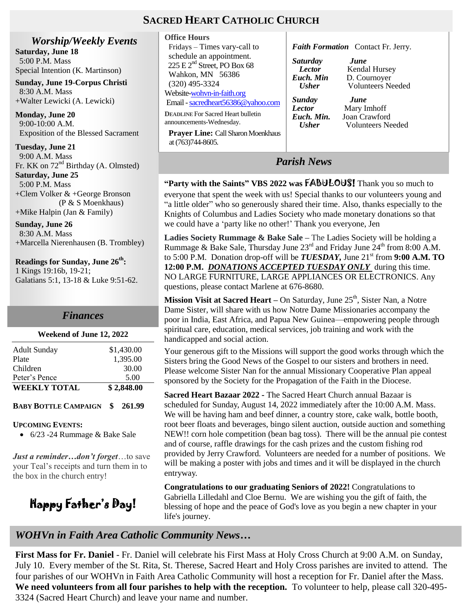## **SACRED HEART CATHOLIC CHURCH**

at (763)744-8605.

*Worship/Weekly Events* **Saturday, June 18** 5:00 P.M. Mass Special Intention (K. Martinson)

**Sunday, June 19-Corpus Christi** 8:30 A.M. Mass +Walter Lewicki (A. Lewicki)

**Monday, June 20** 9:00-10:00 A.M. Exposition of the Blessed Sacrament

**Tuesday, June 21** 9:00 A.M. Mass Fr. KK on  $72<sup>nd</sup>$  Birthday (A. Olmsted) **Saturday, June 25** 5:00 P.M. Mass +Clem Volker & +George Bronson (P & S Moenkhaus) +Mike Halpin (Jan & Family)

**Sunday, June 26** 8:30 A.M. Mass +Marcella Nierenhausen (B. Trombley)

**Readings for Sunday, June 26th :** 1 Kings 19:16b, 19-21; Galatians 5:1, 13-18 & Luke 9:51-62.

# *Finances*

#### **Weekend of June 12, 2022**

| Peter's Pence       | 5.00       |
|---------------------|------------|
| <b>WEEKLY TOTAL</b> | \$2,848.00 |
| Plate               | 1.395.00   |
| Children            | 30.00      |
| <b>Adult Sunday</b> | \$1,430.00 |

### **BABY BOTTLE CAMPAIGN \$ 261.99**

#### **UPCOMING EVENTS:**

6/23 -24 Rummage & Bake Sale

*Just a reminder…don't forget*…to save your Teal's receipts and turn them in to the box in the church entry!

Happy Father's Day!

#### **Office Hours** Fridays – Times vary-call to schedule an appointment.  $225 \text{ E } 2^{\text{nd}}$  Street, PO Box 68 Wahkon, MN 56386 (320) 495-3324 Website[-wohvn-in-faith.org](http://www.stclouddiocese.org/parishes/%20%20%20%20hconamia/)  Email [-sacredheart56386@yahoo.com](mailto:sacredheart56386@yahoo.com) **DEADLINE** For Sacred Heart bulletin announcements-Wednesday. **Prayer Line:** Call Sharon Moenkhaus *Faith Formation* Contact Fr. Jerry. *Saturday June Lector* **Kendal Hursey**<br>*Euch. Min* **D. Cournoyer** *Euch. Min* D. Cournoyer  *Usher* Volunteers Needed *Sunday June* **Lector** Mary Imhoff<br>*Euch. Min.* Ioan Crawforc **Joan Crawford** *Usher* Volunteers Needed

*Parish News*

**"Party with the Saints" VBS 2022 was** FABULOUS! Thank you so much to everyone that spent the week with us! Special thanks to our volunteers young and "a little older" who so generously shared their time. Also, thanks especially to the Knights of Columbus and Ladies Society who made monetary donations so that we could have a 'party like no other!' Thank you everyone, Jen

**Ladies Society Rummage & Bake Sale –** The Ladies Society will be holding a Rummage & Bake Sale, Thursday June  $23<sup>rd</sup>$  and Friday June  $24<sup>th</sup>$  from 8:00 A.M. to 5:00 P.M. Donation drop-off will be *TUESDAY*, June 21<sup>st</sup> from 9:00 A.M. TO **12:00 P.M.** *DONATIONS ACCEPTED TUESDAY ONLY* during this time. NO LARGE FURNITURE, LARGE APPLIANCES OR ELECTRONICS. Any questions, please contact Marlene at 676-8680.

**Mission Visit at Sacred Heart** – On Saturday, June 25<sup>th</sup>, Sister Nan, a Notre Dame Sister, will share with us how Notre Dame Missionaries accompany the poor in India, East Africa, and Papua New Guinea—empowering people through spiritual care, education, medical services, job training and work with the handicapped and social action.

Your generous gift to the Missions will support the good works through which the Sisters bring the Good News of the Gospel to our sisters and brothers in need. Please welcome Sister Nan for the annual Missionary Cooperative Plan appeal sponsored by the Society for the Propagation of the Faith in the Diocese.

**Sacred Heart Bazaar 2022 -** The Sacred Heart Church annual Bazaar is scheduled for Sunday, August 14, 2022 immediately after the 10:00 A.M. Mass. We will be having ham and beef dinner, a country store, cake walk, bottle booth, root beer floats and beverages, bingo silent auction, outside auction and something NEW!! corn hole competition (bean bag toss). There will be the annual pie contest and of course, raffle drawings for the cash prizes and the custom fishing rod provided by Jerry Crawford. Volunteers are needed for a number of positions. We will be making a poster with jobs and times and it will be displayed in the church entryway.

**Congratulations to our graduating Seniors of 2022!** Congratulations to Gabriella Lilledahl and Cloe Bernu. We are wishing you the gift of faith, the blessing of hope and the peace of God's love as you begin a new chapter in your life's journey.

### *WOHVn in Faith Area Catholic Community News…*

 $\frac{1}{2}$ **First Mass for Fr. Daniel** - Fr. Daniel will celebrate his First Mass at Holy Cross Church at 9:00 A.M. on Sunday, July 10. Every member of the St. Rita, St. Therese, Sacred Heart and Holy Cross parishes are invited to attend. The four parishes of our WOHVn in Faith Area Catholic Community will host a reception for Fr. Daniel after the Mass. **We need volunteers from all four parishes to help with the reception.** To volunteer to help, please call 320-495- 3324 (Sacred Heart Church) and leave your name and number.